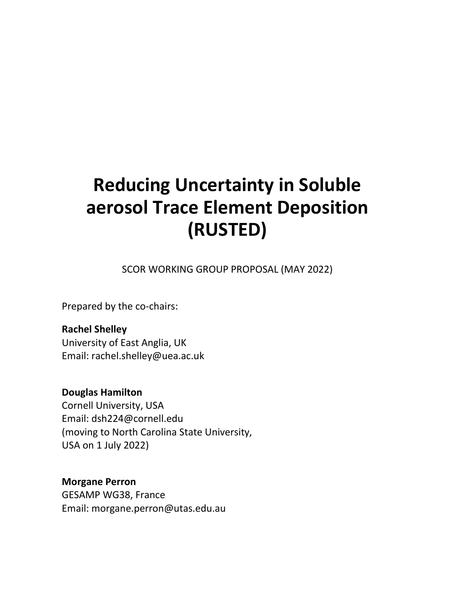# **Reducing Uncertainty in Soluble aerosol Trace Element Deposition (RUSTED)**

SCOR WORKING GROUP PROPOSAL (MAY 2022)

Prepared by the co-chairs:

**Rachel Shelley** University of East Anglia, UK Email: rachel.shelley@uea.ac.uk

**Douglas Hamilton** Cornell University, USA Email: dsh224@cornell.edu (moving to North Carolina State University, USA on 1 July 2022)

**Morgane Perron** GESAMP WG38, France Email: morgane.perron@utas.edu.au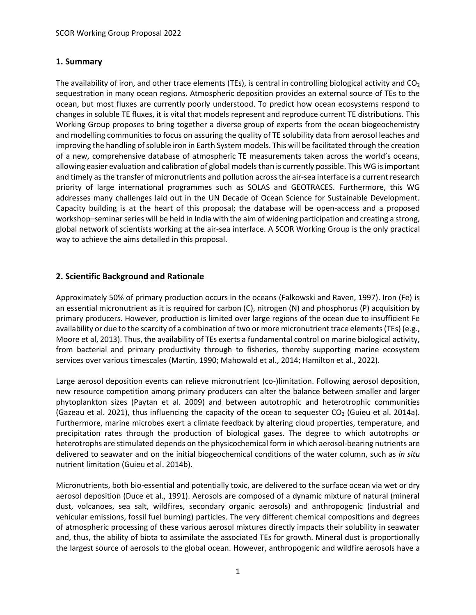## **1. Summary**

The availability of iron, and other trace elements (TEs), is central in controlling biological activity and  $CO<sub>2</sub>$ sequestration in many ocean regions. Atmospheric deposition provides an external source of TEs to the ocean, but most fluxes are currently poorly understood. To predict how ocean ecosystems respond to changes in soluble TE fluxes, it is vital that models represent and reproduce current TE distributions. This Working Group proposes to bring together a diverse group of experts from the ocean biogeochemistry and modelling communities to focus on assuring the quality of TE solubility data from aerosol leaches and improving the handling of soluble iron in Earth System models. This will be facilitated through the creation of a new, comprehensive database of atmospheric TE measurements taken across the world's oceans, allowing easier evaluation and calibration of global models than is currently possible. This WG is important and timely as the transfer of micronutrients and pollution across the air-sea interface is a current research priority of large international programmes such as SOLAS and GEOTRACES. Furthermore, this WG addresses many challenges laid out in the UN Decade of Ocean Science for Sustainable Development. Capacity building is at the heart of this proposal; the database will be open-access and a proposed workshop–seminar series will be held in India with the aim of widening participation and creating a strong, global network of scientists working at the air-sea interface. A SCOR Working Group is the only practical way to achieve the aims detailed in this proposal.

## **2. Scientific Background and Rationale**

Approximately 50% of primary production occurs in the oceans (Falkowski and Raven, 1997). Iron (Fe) is an essential micronutrient as it is required for carbon (C), nitrogen (N) and phosphorus (P) acquisition by primary producers. However, production is limited over large regions of the ocean due to insufficient Fe availability or due to the scarcity of a combination of two or more micronutrient trace elements (TEs) (e.g., Moore et al, 2013). Thus, the availability of TEs exerts a fundamental control on marine biological activity, from bacterial and primary productivity through to fisheries, thereby supporting marine ecosystem services over various timescales (Martin, 1990; Mahowald et al., 2014; Hamilton et al., 2022).

Large aerosol deposition events can relieve micronutrient (co-)limitation. Following aerosol deposition, new resource competition among primary producers can alter the balance between smaller and larger phytoplankton sizes (Paytan et al. 2009) and between autotrophic and heterotrophic communities (Gazeau et al. 2021), thus influencing the capacity of the ocean to sequester  $CO<sub>2</sub>$  (Guieu et al. 2014a). Furthermore, marine microbes exert a climate feedback by altering cloud properties, temperature, and precipitation rates through the production of biological gases. The degree to which autotrophs or heterotrophs are stimulated depends on the physicochemical form in which aerosol-bearing nutrients are delivered to seawater and on the initial biogeochemical conditions of the water column, such as *in situ* nutrient limitation (Guieu et al. 2014b).

Micronutrients, both bio-essential and potentially toxic, are delivered to the surface ocean via wet or dry aerosol deposition (Duce et al., 1991). Aerosols are composed of a dynamic mixture of natural (mineral dust, volcanoes, sea salt, wildfires, secondary organic aerosols) and anthropogenic (industrial and vehicular emissions, fossil fuel burning) particles. The very different chemical compositions and degrees of atmospheric processing of these various aerosol mixtures directly impacts their solubility in seawater and, thus, the ability of biota to assimilate the associated TEs for growth. Mineral dust is proportionally the largest source of aerosols to the global ocean. However, anthropogenic and wildfire aerosols have a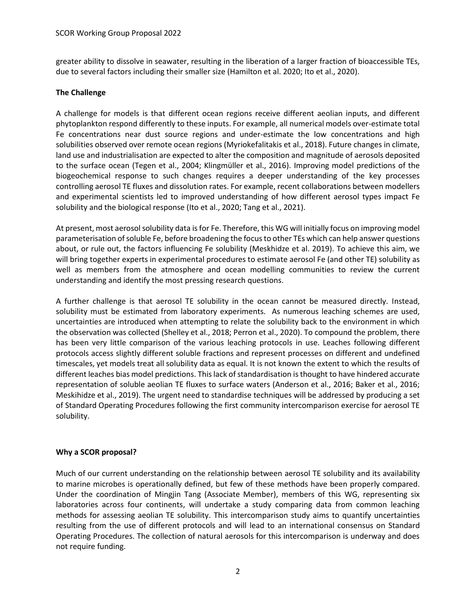greater ability to dissolve in seawater, resulting in the liberation of a larger fraction of bioaccessible TEs, due to several factors including their smaller size (Hamilton et al. 2020; Ito et al., 2020).

#### **The Challenge**

A challenge for models is that different ocean regions receive different aeolian inputs, and different phytoplankton respond differently to these inputs. For example, all numerical models over-estimate total Fe concentrations near dust source regions and under-estimate the low concentrations and high solubilities observed over remote ocean regions (Myriokefalitakis et al., 2018). Future changes in climate, land use and industrialisation are expected to alter the composition and magnitude of aerosols deposited to the surface ocean (Tegen et al., 2004; Klingmüller et al., 2016). Improving model predictions of the biogeochemical response to such changes requires a deeper understanding of the key processes controlling aerosol TE fluxes and dissolution rates. For example, recent collaborations between modellers and experimental scientists led to improved understanding of how different aerosol types impact Fe solubility and the biological response (Ito et al., 2020; Tang et al., 2021).

At present, most aerosol solubility data is for Fe. Therefore, this WG will initially focus on improving model parameterisation of soluble Fe, before broadening the focus to other TEs which can help answer questions about, or rule out, the factors influencing Fe solubility (Meskhidze et al. 2019). To achieve this aim, we will bring together experts in experimental procedures to estimate aerosol Fe (and other TE) solubility as well as members from the atmosphere and ocean modelling communities to review the current understanding and identify the most pressing research questions.

A further challenge is that aerosol TE solubility in the ocean cannot be measured directly. Instead, solubility must be estimated from laboratory experiments. As numerous leaching schemes are used, uncertainties are introduced when attempting to relate the solubility back to the environment in which the observation was collected (Shelley et al., 2018; Perron et al., 2020). To compound the problem, there has been very little comparison of the various leaching protocols in use. Leaches following different protocols access slightly different soluble fractions and represent processes on different and undefined timescales, yet models treat all solubility data as equal. It is not known the extent to which the results of different leaches bias model predictions. This lack of standardisation is thought to have hindered accurate representation of soluble aeolian TE fluxes to surface waters (Anderson et al., 2016; Baker et al., 2016; Meskihidze et al., 2019). The urgent need to standardise techniques will be addressed by producing a set of Standard Operating Procedures following the first community intercomparison exercise for aerosol TE solubility.

## **Why a SCOR proposal?**

Much of our current understanding on the relationship between aerosol TE solubility and its availability to marine microbes is operationally defined, but few of these methods have been properly compared. Under the coordination of Mingjin Tang (Associate Member), members of this WG, representing six laboratories across four continents, will undertake a study comparing data from common leaching methods for assessing aeolian TE solubility. This intercomparison study aims to quantify uncertainties resulting from the use of different protocols and will lead to an international consensus on Standard Operating Procedures. The collection of natural aerosols for this intercomparison is underway and does not require funding.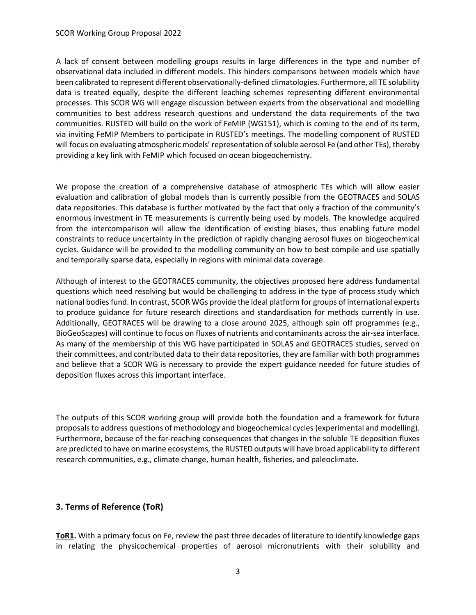#### SCOR Working Group Proposal 2022

A lack of consent between modelling groups results in large differences in the type and number of observational data included in different models. This hinders comparisons between models which have been calibrated to represent different observationally-defined climatologies. Furthermore, all TE solubility data is treated equally, despite the different leaching schemes representing different environmental processes. This SCOR WG will engage discussion between experts from the observational and modelling communities to best address research questions and understand the data requirements of the two communities. RUSTED will build on the work of FeMIP (WG151), which is coming to the end of its term, via inviting FeMIP Members to participate in RUSTED's meetings. The modelling component of RUSTED will focus on evaluating atmospheric models' representation of soluble aerosol Fe (and other TEs), thereby providing a key link with FeMIP which focused on ocean biogeochemistry.

We propose the creation of a comprehensive database of atmospheric TEs which will allow easier evaluation and calibration of global models than is currently possible from the GEOTRACES and SOLAS data repositories. This database is further motivated by the fact that only a fraction of the community's enormous investment in TE measurements is currently being used by models. The knowledge acquired from the intercomparison will allow the identification of existing biases, thus enabling future model constraints to reduce uncertainty in the prediction of rapidly changing aerosol fluxes on biogeochemical cycles. Guidance will be provided to the modelling community on how to best compile and use spatially and temporally sparse data, especially in regions with minimal data coverage.

Although of interest to the GEOTRACES community, the objectives proposed here address fundamental questions which need resolving but would be challenging to address in the type of process study which national bodies fund. In contrast, SCOR WGs provide the ideal platform for groups of international experts to produce guidance for future research directions and standardisation for methods currently in use. Additionally, GEOTRACES will be drawing to a close around 2025, although spin off programmes (e.g., BioGeoScapes) will continue to focus on fluxes of nutrients and contaminants across the air-sea interface. As many of the membership of this WG have participated in SOLAS and GEOTRACES studies, served on their committees, and contributed data to their data repositories, they are familiar with both programmes and believe that a SCOR WG is necessary to provide the expert guidance needed for future studies of deposition fluxes across this important interface.

The outputs of this SCOR working group will provide both the foundation and a framework for future proposals to address questions of methodology and biogeochemical cycles (experimental and modelling). Furthermore, because of the far-reaching consequences that changes in the soluble TE deposition fluxes are predicted to have on marine ecosystems, the RUSTED outputs will have broad applicability to different research communities, e.g., climate change, human health, fisheries, and paleoclimate.

## **3. Terms of Reference (ToR)**

**ToR1.** With a primary focus on Fe, review the past three decades of literature to identify knowledge gaps in relating the physicochemical properties of aerosol micronutrients with their solubility and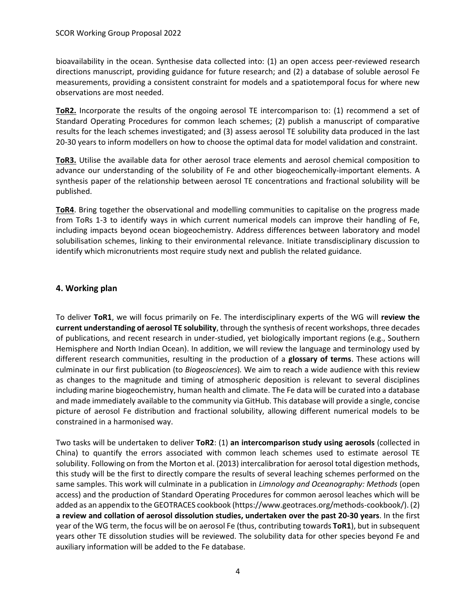bioavailability in the ocean. Synthesise data collected into: (1) an open access peer-reviewed research directions manuscript, providing guidance for future research; and (2) a database of soluble aerosol Fe measurements, providing a consistent constraint for models and a spatiotemporal focus for where new observations are most needed.

**ToR2.** Incorporate the results of the ongoing aerosol TE intercomparison to: (1) recommend a set of Standard Operating Procedures for common leach schemes; (2) publish a manuscript of comparative results for the leach schemes investigated; and (3) assess aerosol TE solubility data produced in the last 20-30 years to inform modellers on how to choose the optimal data for model validation and constraint.

**ToR3.** Utilise the available data for other aerosol trace elements and aerosol chemical composition to advance our understanding of the solubility of Fe and other biogeochemically-important elements. A synthesis paper of the relationship between aerosol TE concentrations and fractional solubility will be published.

**ToR4**. Bring together the observational and modelling communities to capitalise on the progress made from ToRs 1-3 to identify ways in which current numerical models can improve their handling of Fe, including impacts beyond ocean biogeochemistry. Address differences between laboratory and model solubilisation schemes, linking to their environmental relevance. Initiate transdisciplinary discussion to identify which micronutrients most require study next and publish the related guidance.

## **4. Working plan**

To deliver **ToR1**, we will focus primarily on Fe. The interdisciplinary experts of the WG will **review the current understanding of aerosol TE solubility**, through the synthesis of recent workshops, three decades of publications, and recent research in under-studied, yet biologically important regions (e.g., Southern Hemisphere and North Indian Ocean). In addition, we will review the language and terminology used by different research communities, resulting in the production of a **glossary of terms**. These actions will culminate in our first publication (to *Biogeosciences*)*.* We aim to reach a wide audience with this review as changes to the magnitude and timing of atmospheric deposition is relevant to several disciplines including marine biogeochemistry, human health and climate. The Fe data will be curated into a database and made immediately available to the community via GitHub. This database will provide a single, concise picture of aerosol Fe distribution and fractional solubility, allowing different numerical models to be constrained in a harmonised way.

Two tasks will be undertaken to deliver **ToR2**: (1) **an intercomparison study using aerosols** (collected in China) to quantify the errors associated with common leach schemes used to estimate aerosol TE solubility. Following on from the Morton et al. (2013) intercalibration for aerosol total digestion methods, this study will be the first to directly compare the results of several leaching schemes performed on the same samples. This work will culminate in a publication in *Limnology and Oceanography: Methods* (open access) and the production of Standard Operating Procedures for common aerosol leaches which will be added as an appendix to the GEOTRACES cookbook (https://www.geotraces.org/methods-cookbook/). (2) **a review and collation of aerosol dissolution studies, undertaken over the past 20-30 years**. In the first year of the WG term, the focus will be on aerosol Fe (thus, contributing towards **ToR1**), but in subsequent years other TE dissolution studies will be reviewed. The solubility data for other species beyond Fe and auxiliary information will be added to the Fe database.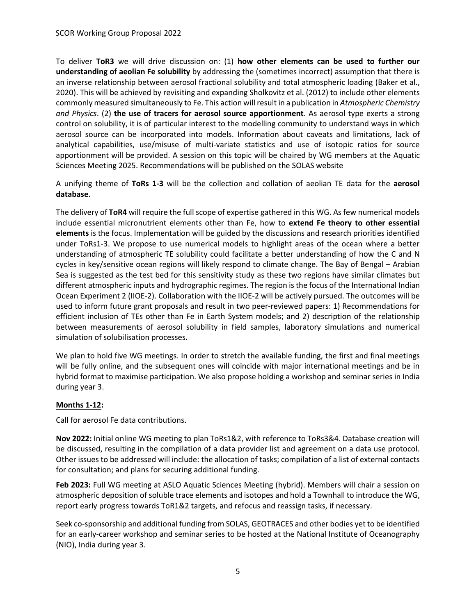To deliver **ToR3** we will drive discussion on: (1) **how other elements can be used to further our understanding of aeolian Fe solubility** by addressing the (sometimes incorrect) assumption that there is an inverse relationship between aerosol fractional solubility and total atmospheric loading (Baker et al., 2020). This will be achieved by revisiting and expanding Sholkovitz et al. (2012) to include other elements commonly measured simultaneously to Fe. This action will result in a publication in *Atmospheric Chemistry and Physics*. (2) **the use of tracers for aerosol source apportionment**. As aerosol type exerts a strong control on solubility, it is of particular interest to the modelling community to understand ways in which aerosol source can be incorporated into models. Information about caveats and limitations, lack of analytical capabilities, use/misuse of multi-variate statistics and use of isotopic ratios for source apportionment will be provided. A session on this topic will be chaired by WG members at the Aquatic Sciences Meeting 2025. Recommendations will be published on the SOLAS website

A unifying theme of **ToRs 1-3** will be the collection and collation of aeolian TE data for the **aerosol database**.

The delivery of **ToR4** will require the full scope of expertise gathered in this WG. As few numerical models include essential micronutrient elements other than Fe, how to **extend Fe theory to other essential elements** is the focus. Implementation will be guided by the discussions and research priorities identified under ToRs1-3. We propose to use numerical models to highlight areas of the ocean where a better understanding of atmospheric TE solubility could facilitate a better understanding of how the C and N cycles in key/sensitive ocean regions will likely respond to climate change. The Bay of Bengal – Arabian Sea is suggested as the test bed for this sensitivity study as these two regions have similar climates but different atmospheric inputs and hydrographic regimes. The region is the focus of the International Indian Ocean Experiment 2 (IIOE-2). Collaboration with the IIOE-2 will be actively pursued. The outcomes will be used to inform future grant proposals and result in two peer-reviewed papers: 1) Recommendations for efficient inclusion of TEs other than Fe in Earth System models; and 2) description of the relationship between measurements of aerosol solubility in field samples, laboratory simulations and numerical simulation of solubilisation processes.

We plan to hold five WG meetings. In order to stretch the available funding, the first and final meetings will be fully online, and the subsequent ones will coincide with major international meetings and be in hybrid format to maximise participation. We also propose holding a workshop and seminar series in India during year 3.

## **Months 1-12:**

Call for aerosol Fe data contributions.

**Nov 2022:** Initial online WG meeting to plan ToRs1&2, with reference to ToRs3&4. Database creation will be discussed, resulting in the compilation of a data provider list and agreement on a data use protocol. Other issues to be addressed will include: the allocation of tasks; compilation of a list of external contacts for consultation; and plans for securing additional funding.

**Feb 2023:** Full WG meeting at ASLO Aquatic Sciences Meeting (hybrid). Members will chair a session on atmospheric deposition of soluble trace elements and isotopes and hold a Townhall to introduce the WG, report early progress towards ToR1&2 targets, and refocus and reassign tasks, if necessary.

Seek co-sponsorship and additional funding from SOLAS, GEOTRACES and other bodies yet to be identified for an early-career workshop and seminar series to be hosted at the National Institute of Oceanography (NIO), India during year 3.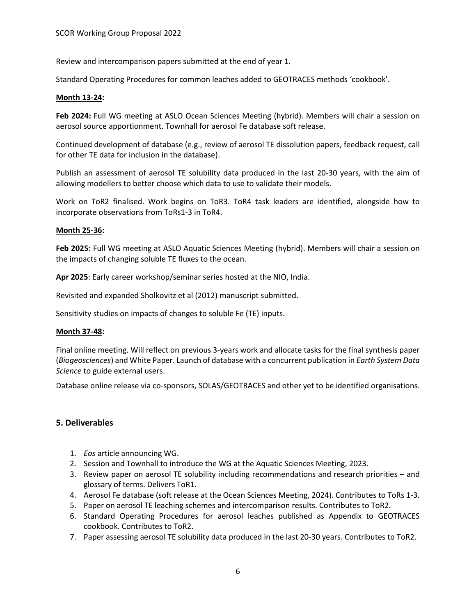Review and intercomparison papers submitted at the end of year 1.

Standard Operating Procedures for common leaches added to GEOTRACES methods 'cookbook'.

#### **Month 13-24:**

**Feb 2024:** Full WG meeting at ASLO Ocean Sciences Meeting (hybrid). Members will chair a session on aerosol source apportionment. Townhall for aerosol Fe database soft release.

Continued development of database (e.g., review of aerosol TE dissolution papers, feedback request, call for other TE data for inclusion in the database).

Publish an assessment of aerosol TE solubility data produced in the last 20-30 years, with the aim of allowing modellers to better choose which data to use to validate their models.

Work on ToR2 finalised. Work begins on ToR3. ToR4 task leaders are identified, alongside how to incorporate observations from ToRs1-3 in ToR4.

#### **Month 25-36:**

**Feb 2025:** Full WG meeting at ASLO Aquatic Sciences Meeting (hybrid). Members will chair a session on the impacts of changing soluble TE fluxes to the ocean.

**Apr 2025**: Early career workshop/seminar series hosted at the NIO, India.

Revisited and expanded Sholkovitz et al (2012) manuscript submitted.

Sensitivity studies on impacts of changes to soluble Fe (TE) inputs.

#### **Month 37-48:**

Final online meeting. Will reflect on previous 3-years work and allocate tasks for the final synthesis paper (*Biogeosciences*) and White Paper. Launch of database with a concurrent publication in *Earth System Data Science* to guide external users.

Database online release via co-sponsors, SOLAS/GEOTRACES and other yet to be identified organisations.

#### **5. Deliverables**

- 1. *Eos* article announcing WG.
- 2. Session and Townhall to introduce the WG at the Aquatic Sciences Meeting, 2023.
- 3. Review paper on aerosol TE solubility including recommendations and research priorities and glossary of terms. Delivers ToR1.
- 4. Aerosol Fe database (soft release at the Ocean Sciences Meeting, 2024). Contributes to ToRs 1-3.
- 5. Paper on aerosol TE leaching schemes and intercomparison results. Contributes to ToR2.
- 6. Standard Operating Procedures for aerosol leaches published as Appendix to GEOTRACES cookbook. Contributes to ToR2.
- 7. Paper assessing aerosol TE solubility data produced in the last 20-30 years. Contributes to ToR2.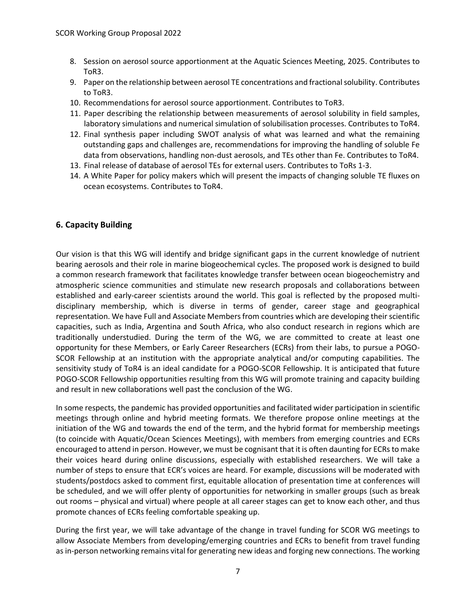- 8. Session on aerosol source apportionment at the Aquatic Sciences Meeting, 2025. Contributes to ToR3.
- 9. Paper on the relationship between aerosol TE concentrations and fractional solubility. Contributes to ToR3.
- 10. Recommendations for aerosol source apportionment. Contributes to ToR3.
- 11. Paper describing the relationship between measurements of aerosol solubility in field samples, laboratory simulations and numerical simulation of solubilisation processes. Contributes to ToR4.
- 12. Final synthesis paper including SWOT analysis of what was learned and what the remaining outstanding gaps and challenges are, recommendations for improving the handling of soluble Fe data from observations, handling non-dust aerosols, and TEs other than Fe. Contributes to ToR4.
- 13. Final release of database of aerosol TEs for external users. Contributes to ToRs 1-3.
- 14. A White Paper for policy makers which will present the impacts of changing soluble TE fluxes on ocean ecosystems. Contributes to ToR4.

## **6. Capacity Building**

Our vision is that this WG will identify and bridge significant gaps in the current knowledge of nutrient bearing aerosols and their role in marine biogeochemical cycles. The proposed work is designed to build a common research framework that facilitates knowledge transfer between ocean biogeochemistry and atmospheric science communities and stimulate new research proposals and collaborations between established and early-career scientists around the world. This goal is reflected by the proposed multidisciplinary membership, which is diverse in terms of gender, career stage and geographical representation. We have Full and Associate Members from countries which are developing their scientific capacities, such as India, Argentina and South Africa, who also conduct research in regions which are traditionally understudied. During the term of the WG, we are committed to create at least one opportunity for these Members, or Early Career Researchers (ECRs) from their labs, to pursue a POGO-SCOR Fellowship at an institution with the appropriate analytical and/or computing capabilities. The sensitivity study of ToR4 is an ideal candidate for a POGO-SCOR Fellowship. It is anticipated that future POGO-SCOR Fellowship opportunities resulting from this WG will promote training and capacity building and result in new collaborations well past the conclusion of the WG.

In some respects, the pandemic has provided opportunities and facilitated wider participation in scientific meetings through online and hybrid meeting formats. We therefore propose online meetings at the initiation of the WG and towards the end of the term, and the hybrid format for membership meetings (to coincide with Aquatic/Ocean Sciences Meetings), with members from emerging countries and ECRs encouraged to attend in person. However, we must be cognisant that it is often daunting for ECRs to make their voices heard during online discussions, especially with established researchers. We will take a number of steps to ensure that ECR's voices are heard. For example, discussions will be moderated with students/postdocs asked to comment first, equitable allocation of presentation time at conferences will be scheduled, and we will offer plenty of opportunities for networking in smaller groups (such as break out rooms – physical and virtual) where people at all career stages can get to know each other, and thus promote chances of ECRs feeling comfortable speaking up.

During the first year, we will take advantage of the change in travel funding for SCOR WG meetings to allow Associate Members from developing/emerging countries and ECRs to benefit from travel funding as in-person networking remains vital for generating new ideas and forging new connections. The working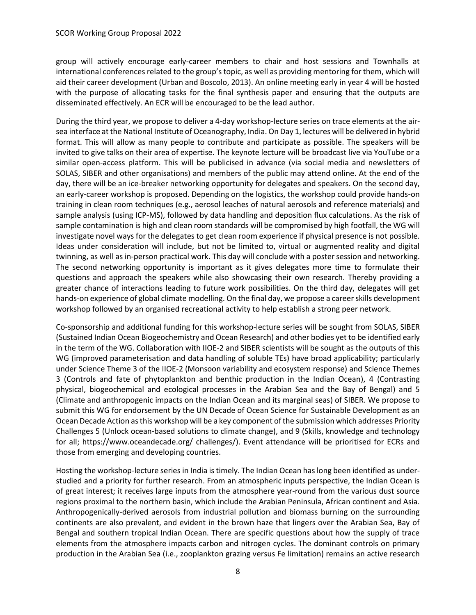group will actively encourage early-career members to chair and host sessions and Townhalls at international conferences related to the group's topic, as well as providing mentoring for them, which will aid their career development (Urban and Boscolo, 2013). An online meeting early in year 4 will be hosted with the purpose of allocating tasks for the final synthesis paper and ensuring that the outputs are disseminated effectively. An ECR will be encouraged to be the lead author.

During the third year, we propose to deliver a 4-day workshop-lecture series on trace elements at the airsea interface at the National Institute of Oceanography, India. On Day 1, lectures will be delivered in hybrid format. This will allow as many people to contribute and participate as possible. The speakers will be invited to give talks on their area of expertise. The keynote lecture will be broadcast live via YouTube or a similar open-access platform. This will be publicised in advance (via social media and newsletters of SOLAS, SIBER and other organisations) and members of the public may attend online. At the end of the day, there will be an ice-breaker networking opportunity for delegates and speakers. On the second day, an early-career workshop is proposed. Depending on the logistics, the workshop could provide hands-on training in clean room techniques (e.g., aerosol leaches of natural aerosols and reference materials) and sample analysis (using ICP-MS), followed by data handling and deposition flux calculations. As the risk of sample contamination is high and clean room standards will be compromised by high footfall, the WG will investigate novel ways for the delegates to get clean room experience if physical presence is not possible. Ideas under consideration will include, but not be limited to, virtual or augmented reality and digital twinning, as well as in-person practical work. This day will conclude with a poster session and networking. The second networking opportunity is important as it gives delegates more time to formulate their questions and approach the speakers while also showcasing their own research. Thereby providing a greater chance of interactions leading to future work possibilities. On the third day, delegates will get hands-on experience of global climate modelling. On the final day, we propose a career skills development workshop followed by an organised recreational activity to help establish a strong peer network.

Co-sponsorship and additional funding for this workshop-lecture series will be sought from SOLAS, SIBER (Sustained Indian Ocean Biogeochemistry and Ocean Research) and other bodies yet to be identified early in the term of the WG. Collaboration with IIOE-2 and SIBER scientists will be sought as the outputs of this WG (improved parameterisation and data handling of soluble TEs) have broad applicability; particularly under Science Theme 3 of the IIOE-2 (Monsoon variability and ecosystem response) and Science Themes 3 (Controls and fate of phytoplankton and benthic production in the Indian Ocean), 4 (Contrasting physical, biogeochemical and ecological processes in the Arabian Sea and the Bay of Bengal) and 5 (Climate and anthropogenic impacts on the Indian Ocean and its marginal seas) of SIBER. We propose to submit this WG for endorsement by the UN Decade of Ocean Science for Sustainable Development as an Ocean Decade Action as this workshop will be a key component of the submission which addresses Priority Challenges 5 (Unlock ocean-based solutions to climate change), and 9 (Skills, knowledge and technology for all; https://www.oceandecade.org/ challenges/). Event attendance will be prioritised for ECRs and those from emerging and developing countries.

Hosting the workshop-lecture series in India is timely. The Indian Ocean has long been identified as understudied and a priority for further research. From an atmospheric inputs perspective, the Indian Ocean is of great interest; it receives large inputs from the atmosphere year-round from the various dust source regions proximal to the northern basin, which include the Arabian Peninsula, African continent and Asia. Anthropogenically-derived aerosols from industrial pollution and biomass burning on the surrounding continents are also prevalent, and evident in the brown haze that lingers over the Arabian Sea, Bay of Bengal and southern tropical Indian Ocean. There are specific questions about how the supply of trace elements from the atmosphere impacts carbon and nitrogen cycles. The dominant controls on primary production in the Arabian Sea (i.e., zooplankton grazing versus Fe limitation) remains an active research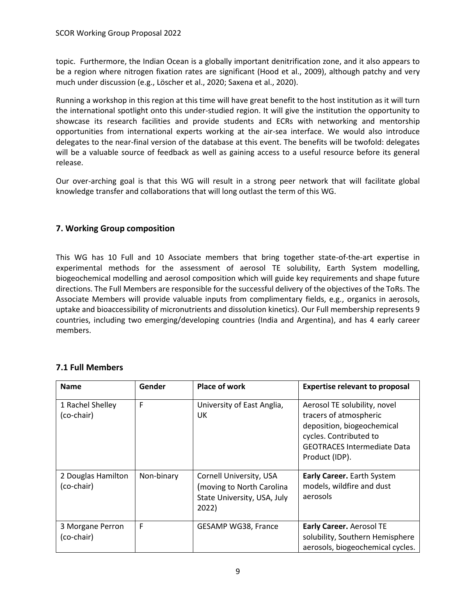topic. Furthermore, the Indian Ocean is a globally important denitrification zone, and it also appears to be a region where nitrogen fixation rates are significant (Hood et al., 2009), although patchy and very much under discussion (e.g., Löscher et al., 2020; Saxena et al., 2020).

Running a workshop in this region at this time will have great benefit to the host institution as it will turn the international spotlight onto this under-studied region. It will give the institution the opportunity to showcase its research facilities and provide students and ECRs with networking and mentorship opportunities from international experts working at the air-sea interface. We would also introduce delegates to the near-final version of the database at this event. The benefits will be twofold: delegates will be a valuable source of feedback as well as gaining access to a useful resource before its general release.

Our over-arching goal is that this WG will result in a strong peer network that will facilitate global knowledge transfer and collaborations that will long outlast the term of this WG.

## **7. Working Group composition**

This WG has 10 Full and 10 Associate members that bring together state-of-the-art expertise in experimental methods for the assessment of aerosol TE solubility, Earth System modelling, biogeochemical modelling and aerosol composition which will guide key requirements and shape future directions. The Full Members are responsible for the successful delivery of the objectives of the ToRs. The Associate Members will provide valuable inputs from complimentary fields, e.g., organics in aerosols, uptake and bioaccessibility of micronutrients and dissolution kinetics). Our Full membership represents 9 countries, including two emerging/developing countries (India and Argentina), and has 4 early career members.

| <b>Name</b>                      | Gender     | <b>Place of work</b>                                                                         | <b>Expertise relevant to proposal</b>                                                                                                                                  |
|----------------------------------|------------|----------------------------------------------------------------------------------------------|------------------------------------------------------------------------------------------------------------------------------------------------------------------------|
| 1 Rachel Shelley<br>(co-chair)   | F          | University of East Anglia,<br>UK                                                             | Aerosol TE solubility, novel<br>tracers of atmospheric<br>deposition, biogeochemical<br>cycles. Contributed to<br><b>GEOTRACES Intermediate Data</b><br>Product (IDP). |
| 2 Douglas Hamilton<br>(co-chair) | Non-binary | Cornell University, USA<br>(moving to North Carolina<br>State University, USA, July<br>2022) | <b>Early Career.</b> Earth System<br>models, wildfire and dust<br>aerosols                                                                                             |
| 3 Morgane Perron<br>(co-chair)   | F          | GESAMP WG38, France                                                                          | Early Career. Aerosol TE<br>solubility, Southern Hemisphere<br>aerosols, biogeochemical cycles.                                                                        |

## **7.1 Full Members**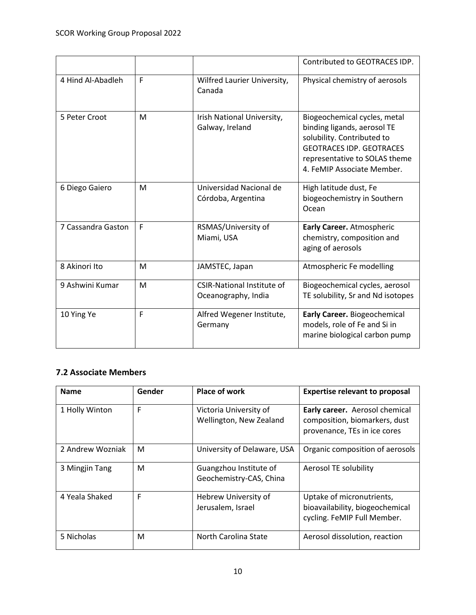|                    |   |                                                          | Contributed to GEOTRACES IDP.                                                                                                                                                               |
|--------------------|---|----------------------------------------------------------|---------------------------------------------------------------------------------------------------------------------------------------------------------------------------------------------|
| 4 Hind Al-Abadleh  | F | Wilfred Laurier University,<br>Canada                    | Physical chemistry of aerosols                                                                                                                                                              |
| 5 Peter Croot      | M | Irish National University,<br>Galway, Ireland            | Biogeochemical cycles, metal<br>binding ligands, aerosol TE<br>solubility. Contributed to<br><b>GEOTRACES IDP. GEOTRACES</b><br>representative to SOLAS theme<br>4. FeMIP Associate Member. |
| 6 Diego Gaiero     | M | Universidad Nacional de<br>Córdoba, Argentina            | High latitude dust, Fe<br>biogeochemistry in Southern<br>Ocean                                                                                                                              |
| 7 Cassandra Gaston | F | RSMAS/University of<br>Miami, USA                        | Early Career. Atmospheric<br>chemistry, composition and<br>aging of aerosols                                                                                                                |
| 8 Akinori Ito      | M | JAMSTEC, Japan                                           | Atmospheric Fe modelling                                                                                                                                                                    |
| 9 Ashwini Kumar    | M | <b>CSIR-National Institute of</b><br>Oceanography, India | Biogeochemical cycles, aerosol<br>TE solubility, Sr and Nd isotopes                                                                                                                         |
| 10 Ying Ye         | F | Alfred Wegener Institute,<br>Germany                     | Early Career. Biogeochemical<br>models, role of Fe and Si in<br>marine biological carbon pump                                                                                               |

## **7.2 Associate Members**

| <b>Name</b>      | Gender | <b>Place of work</b>                              | <b>Expertise relevant to proposal</b>                                                           |
|------------------|--------|---------------------------------------------------|-------------------------------------------------------------------------------------------------|
| 1 Holly Winton   | F      | Victoria University of<br>Wellington, New Zealand | Early career. Aerosol chemical<br>composition, biomarkers, dust<br>provenance, TEs in ice cores |
| 2 Andrew Wozniak | М      | University of Delaware, USA                       | Organic composition of aerosols                                                                 |
| 3 Mingjin Tang   | M      | Guangzhou Institute of<br>Geochemistry-CAS, China | Aerosol TE solubility                                                                           |
| 4 Yeala Shaked   | F      | Hebrew University of<br>Jerusalem, Israel         | Uptake of micronutrients,<br>bioavailability, biogeochemical<br>cycling. FeMIP Full Member.     |
| 5 Nicholas       | M      | North Carolina State                              | Aerosol dissolution, reaction                                                                   |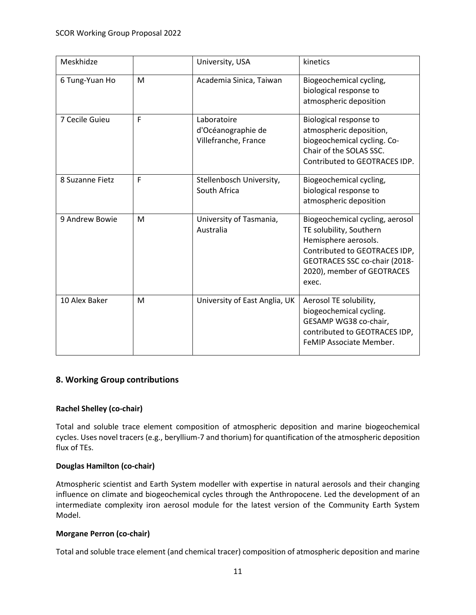| Meskhidze       |   | University, USA                                           | kinetics                                                                                                                                                                                    |
|-----------------|---|-----------------------------------------------------------|---------------------------------------------------------------------------------------------------------------------------------------------------------------------------------------------|
| 6 Tung-Yuan Ho  | M | Academia Sinica, Taiwan                                   | Biogeochemical cycling,<br>biological response to<br>atmospheric deposition                                                                                                                 |
| 7 Cecile Guieu  | F | Laboratoire<br>d'Océanographie de<br>Villefranche, France | Biological response to<br>atmospheric deposition,<br>biogeochemical cycling. Co-<br>Chair of the SOLAS SSC.<br>Contributed to GEOTRACES IDP.                                                |
| 8 Suzanne Fietz | F | Stellenbosch University,<br>South Africa                  | Biogeochemical cycling,<br>biological response to<br>atmospheric deposition                                                                                                                 |
| 9 Andrew Bowie  | M | University of Tasmania,<br>Australia                      | Biogeochemical cycling, aerosol<br>TE solubility, Southern<br>Hemisphere aerosols.<br>Contributed to GEOTRACES IDP,<br>GEOTRACES SSC co-chair (2018-<br>2020), member of GEOTRACES<br>exec. |
| 10 Alex Baker   | M | University of East Anglia, UK                             | Aerosol TE solubility,<br>biogeochemical cycling.<br>GESAMP WG38 co-chair,<br>contributed to GEOTRACES IDP,<br>FeMIP Associate Member.                                                      |

## **8. Working Group contributions**

## **Rachel Shelley (co-chair)**

Total and soluble trace element composition of atmospheric deposition and marine biogeochemical cycles. Uses novel tracers (e.g., beryllium-7 and thorium) for quantification of the atmospheric deposition flux of TEs.

#### **Douglas Hamilton (co-chair)**

Atmospheric scientist and Earth System modeller with expertise in natural aerosols and their changing influence on climate and biogeochemical cycles through the Anthropocene. Led the development of an intermediate complexity iron aerosol module for the latest version of the Community Earth System Model.

## **Morgane Perron (co-chair)**

Total and soluble trace element (and chemical tracer) composition of atmospheric deposition and marine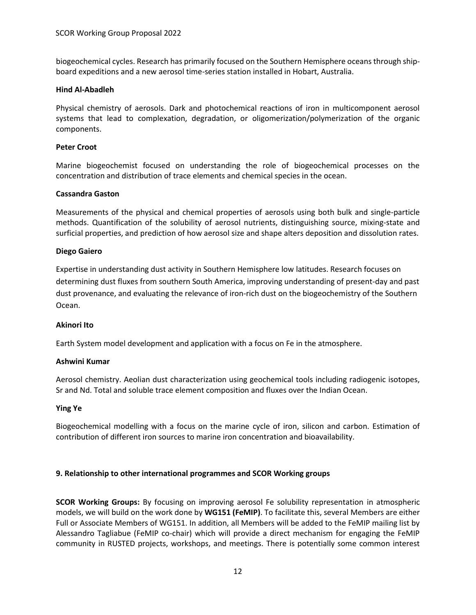biogeochemical cycles. Research has primarily focused on the Southern Hemisphere oceans through shipboard expeditions and a new aerosol time-series station installed in Hobart, Australia.

#### **Hind Al-Abadleh**

Physical chemistry of aerosols. Dark and photochemical reactions of iron in multicomponent aerosol systems that lead to complexation, degradation, or oligomerization/polymerization of the organic components.

#### **Peter Croot**

Marine biogeochemist focused on understanding the role of biogeochemical processes on the concentration and distribution of trace elements and chemical species in the ocean.

#### **Cassandra Gaston**

Measurements of the physical and chemical properties of aerosols using both bulk and single-particle methods. Quantification of the solubility of aerosol nutrients, distinguishing source, mixing-state and surficial properties, and prediction of how aerosol size and shape alters deposition and dissolution rates.

#### **Diego Gaiero**

Expertise in understanding dust activity in Southern Hemisphere low latitudes. Research focuses on determining dust fluxes from southern South America, improving understanding of present-day and past dust provenance, and evaluating the relevance of iron-rich dust on the biogeochemistry of the Southern Ocean.

#### **Akinori Ito**

Earth System model development and application with a focus on Fe in the atmosphere.

#### **Ashwini Kumar**

Aerosol chemistry. Aeolian dust characterization using geochemical tools including radiogenic isotopes, Sr and Nd. Total and soluble trace element composition and fluxes over the Indian Ocean.

#### **Ying Ye**

Biogeochemical modelling with a focus on the marine cycle of iron, silicon and carbon. Estimation of contribution of different iron sources to marine iron concentration and bioavailability.

#### **9. Relationship to other international programmes and SCOR Working groups**

**SCOR Working Groups:** By focusing on improving aerosol Fe solubility representation in atmospheric models, we will build on the work done by **WG151 (FeMIP)**. To facilitate this, several Members are either Full or Associate Members of WG151. In addition, all Members will be added to the FeMIP mailing list by Alessandro Tagliabue (FeMIP co-chair) which will provide a direct mechanism for engaging the FeMIP community in RUSTED projects, workshops, and meetings. There is potentially some common interest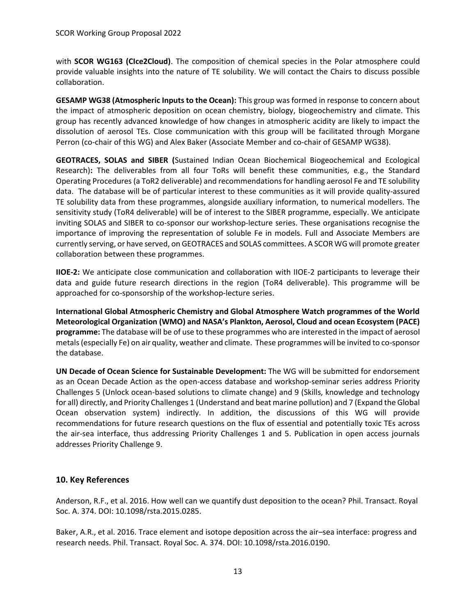with **SCOR WG163 (CIce2Cloud)**. The composition of chemical species in the Polar atmosphere could provide valuable insights into the nature of TE solubility. We will contact the Chairs to discuss possible collaboration.

**GESAMP WG38 (Atmospheric Inputs to the Ocean):** This group was formed in response to concern about the impact of atmospheric deposition on ocean chemistry, biology, biogeochemistry and climate. This group has recently advanced knowledge of how changes in atmospheric acidity are likely to impact the dissolution of aerosol TEs. Close communication with this group will be facilitated through Morgane Perron (co-chair of this WG) and Alex Baker (Associate Member and co-chair of GESAMP WG38).

**GEOTRACES, SOLAS and SIBER (**Sustained Indian Ocean Biochemical Biogeochemical and Ecological Research)**:** The deliverables from all four ToRs will benefit these communities, e.g., the Standard Operating Procedures(a ToR2 deliverable) and recommendations for handling aerosol Fe and TE solubility data. The database will be of particular interest to these communities as it will provide quality-assured TE solubility data from these programmes, alongside auxiliary information, to numerical modellers. The sensitivity study (ToR4 deliverable) will be of interest to the SIBER programme, especially. We anticipate inviting SOLAS and SIBER to co-sponsor our workshop-lecture series. These organisations recognise the importance of improving the representation of soluble Fe in models. Full and Associate Members are currently serving, or have served, on GEOTRACES and SOLAS committees. A SCOR WG will promote greater collaboration between these programmes.

**IIOE-2:** We anticipate close communication and collaboration with IIOE-2 participants to leverage their data and guide future research directions in the region (ToR4 deliverable). This programme will be approached for co-sponsorship of the workshop-lecture series.

**International Global Atmospheric Chemistry and Global Atmosphere Watch programmes of the World Meteorological Organization (WMO) and NASA's Plankton, Aerosol, Cloud and ocean Ecosystem (PACE) programme:** The database will be of use to these programmes who are interested in the impact of aerosol metals(especially Fe) on air quality, weather and climate. These programmes will be invited to co-sponsor the database.

**UN Decade of Ocean Science for Sustainable Development:** The WG will be submitted for endorsement as an Ocean Decade Action as the open-access database and workshop-seminar series address Priority Challenges 5 (Unlock ocean-based solutions to climate change) and 9 (Skills, knowledge and technology for all) directly, and Priority Challenges 1 (Understand and beat marine pollution) and 7 (Expand the Global Ocean observation system) indirectly. In addition, the discussions of this WG will provide recommendations for future research questions on the flux of essential and potentially toxic TEs across the air-sea interface, thus addressing Priority Challenges 1 and 5. Publication in open access journals addresses Priority Challenge 9.

## **10. Key References**

Anderson, R.F., et al. 2016. How well can we quantify dust deposition to the ocean? Phil. Transact. Royal Soc. A. 374. DOI: 10.1098/rsta.2015.0285.

Baker, A.R., et al. 2016. Trace element and isotope deposition across the air–sea interface: progress and research needs. Phil. Transact. Royal Soc. A. 374. DOI: 10.1098/rsta.2016.0190.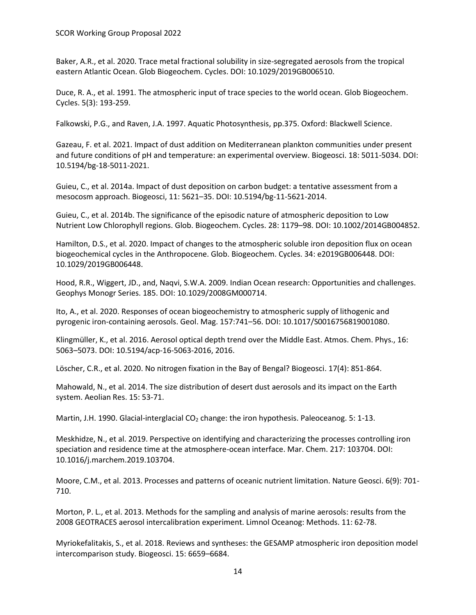Baker, A.R., et al. 2020. Trace metal fractional solubility in size-segregated aerosols from the tropical eastern Atlantic Ocean. Glob Biogeochem. Cycles. DOI: 10.1029/2019GB006510.

Duce, R. A., et al. 1991. The atmospheric input of trace species to the world ocean. Glob Biogeochem. Cycles. 5(3): 193-259.

Falkowski, P.G., and Raven, J.A. 1997. Aquatic Photosynthesis, pp.375. Oxford: Blackwell Science.

Gazeau, F. et al. 2021. Impact of dust addition on Mediterranean plankton communities under present and future conditions of pH and temperature: an experimental overview. Biogeosci. 18: 5011-5034. DOI: 10.5194/bg-18-5011-2021.

Guieu, C., et al. 2014a. Impact of dust deposition on carbon budget: a tentative assessment from a mesocosm approach. Biogeosci, 11: 5621–35. DOI: 10.5194/bg-11-5621-2014.

Guieu, C., et al. 2014b. The significance of the episodic nature of atmospheric deposition to Low Nutrient Low Chlorophyll regions. Glob. Biogeochem. Cycles. 28: 1179–98. DOI: 10.1002/2014GB004852.

Hamilton, D.S., et al. 2020. Impact of changes to the atmospheric soluble iron deposition flux on ocean biogeochemical cycles in the Anthropocene. Glob. Biogeochem. Cycles. 34: e2019GB006448. DOI: 10.1029/2019GB006448.

Hood, R.R., Wiggert, JD., and, Naqvi, S.W.A. 2009. Indian Ocean research: Opportunities and challenges. Geophys Monogr Series. 185. DOI: 10.1029/2008GM000714.

Ito, A., et al. 2020. Responses of ocean biogeochemistry to atmospheric supply of lithogenic and pyrogenic iron-containing aerosols. Geol. Mag. 157:741–56. DOI: 10.1017/S0016756819001080.

Klingmüller, K., et al. 2016. Aerosol optical depth trend over the Middle East. Atmos. Chem. Phys., 16: 5063–5073. DOI: 10.5194/acp-16-5063-2016, 2016.

Löscher, C.R., et al. 2020. No nitrogen fixation in the Bay of Bengal? Biogeosci. 17(4): 851-864.

Mahowald, N., et al. 2014. The size distribution of desert dust aerosols and its impact on the Earth system. Aeolian Res. 15: 53-71.

Martin, J.H. 1990. Glacial-interglacial  $CO<sub>2</sub>$  change: the iron hypothesis. Paleoceanog. 5: 1-13.

Meskhidze, N., et al. 2019. Perspective on identifying and characterizing the processes controlling iron speciation and residence time at the atmosphere-ocean interface. Mar. Chem. 217: 103704. DOI: 10.1016/j.marchem.2019.103704.

Moore, C.M., et al. 2013. Processes and patterns of oceanic nutrient limitation. Nature Geosci. 6(9): 701- 710.

Morton, P. L., et al. 2013. Methods for the sampling and analysis of marine aerosols: results from the 2008 GEOTRACES aerosol intercalibration experiment. Limnol Oceanog: Methods. 11: 62-78.

Myriokefalitakis, S., et al. 2018. Reviews and syntheses: the GESAMP atmospheric iron deposition model intercomparison study. Biogeosci. 15: 6659–6684.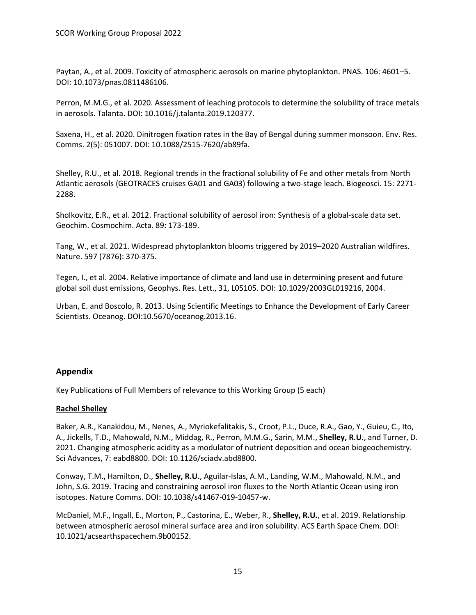Paytan, A., et al. 2009. Toxicity of atmospheric aerosols on marine phytoplankton. PNAS. 106: 4601–5. DOI: 10.1073/pnas.0811486106.

Perron, M.M.G., et al. 2020. Assessment of leaching protocols to determine the solubility of trace metals in aerosols. Talanta. DOI: 10.1016/j.talanta.2019.120377.

Saxena, H., et al. 2020. Dinitrogen fixation rates in the Bay of Bengal during summer monsoon. Env. Res. Comms. 2(5): 051007. DOI: 10.1088/2515-7620/ab89fa.

Shelley, R.U., et al. 2018. Regional trends in the fractional solubility of Fe and other metals from North Atlantic aerosols (GEOTRACES cruises GA01 and GA03) following a two-stage leach. Biogeosci. 15: 2271- 2288.

Sholkovitz, E.R., et al. 2012. Fractional solubility of aerosol iron: Synthesis of a global-scale data set. Geochim. Cosmochim. Acta. 89: 173-189.

Tang, W., et al. 2021. Widespread phytoplankton blooms triggered by 2019–2020 Australian wildfires. Nature. 597 (7876): 370-375.

Tegen, I., et al. 2004. Relative importance of climate and land use in determining present and future global soil dust emissions, Geophys. Res. Lett., 31, L05105. DOI: 10.1029/2003GL019216, 2004.

Urban, E. and Boscolo, R. 2013. Using Scientific Meetings to Enhance the Development of Early Career Scientists. Oceanog. DOI:10.5670/oceanog.2013.16.

## **Appendix**

Key Publications of Full Members of relevance to this Working Group (5 each)

#### **Rachel Shelley**

Baker, A.R., Kanakidou, M., Nenes, A., Myriokefalitakis, S., Croot, P.L., Duce, R.A., Gao, Y., Guieu, C., Ito, A., Jickells, T.D., Mahowald, N.M., Middag, R., Perron, M.M.G., Sarin, M.M., **Shelley, R.U.**, and Turner, D. 2021. Changing atmospheric acidity as a modulator of nutrient deposition and ocean biogeochemistry. Sci Advances, 7: eabd8800. DOI: 10.1126/sciadv.abd8800.

Conway, T.M., Hamilton, D., **Shelley, R.U.**, Aguilar-Islas, A.M., Landing, W.M., Mahowald, N.M., and John, S.G. 2019. Tracing and constraining aerosol iron fluxes to the North Atlantic Ocean using iron isotopes. Nature Comms. DOI: 10.1038/s41467-019-10457-w.

McDaniel, M.F., Ingall, E., Morton, P., Castorina, E., Weber, R., **Shelley, R.U.**, et al. 2019. Relationship between atmospheric aerosol mineral surface area and iron solubility. ACS Earth Space Chem. DOI: 10.1021/acsearthspacechem.9b00152.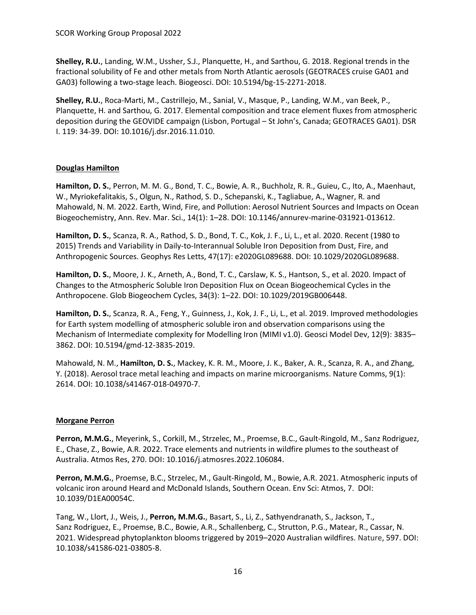**Shelley, R.U.**, Landing, W.M., Ussher, S.J., Planquette, H., and Sarthou, G. 2018. Regional trends in the fractional solubility of Fe and other metals from North Atlantic aerosols (GEOTRACES cruise GA01 and GA03) following a two-stage leach. Biogeosci. DOI: 10.5194/bg-15-2271-2018.

**Shelley, R.U.**, Roca-Marti, M., Castrillejo, M., Sanial, V., Masque, P., Landing, W.M., van Beek, P., Planquette, H. and Sarthou, G. 2017. Elemental composition and trace element fluxes from atmospheric deposition during the GEOVIDE campaign (Lisbon, Portugal – St John's, Canada; GEOTRACES GA01). DSR I. 119: 34-39. DOI: 10.1016/j.dsr.2016.11.010.

## **Douglas Hamilton**

**Hamilton, D. S.**, Perron, M. M. G., Bond, T. C., Bowie, A. R., Buchholz, R. R., Guieu, C., Ito, A., Maenhaut, W., Myriokefalitakis, S., Olgun, N., Rathod, S. D., Schepanski, K., Tagliabue, A., Wagner, R. and Mahowald, N. M. 2022. Earth, Wind, Fire, and Pollution: Aerosol Nutrient Sources and Impacts on Ocean Biogeochemistry, Ann. Rev. Mar. Sci., 14(1): 1–28. DOI: 10.1146/annurev-marine-031921-013612.

**Hamilton, D. S.**, Scanza, R. A., Rathod, S. D., Bond, T. C., Kok, J. F., Li, L., et al. 2020. Recent (1980 to 2015) Trends and Variability in Daily-to-Interannual Soluble Iron Deposition from Dust, Fire, and Anthropogenic Sources. Geophys Res Letts, 47(17): e2020GL089688. DOI: 10.1029/2020GL089688.

**Hamilton, D. S.**, Moore, J. K., Arneth, A., Bond, T. C., Carslaw, K. S., Hantson, S., et al. 2020. Impact of Changes to the Atmospheric Soluble Iron Deposition Flux on Ocean Biogeochemical Cycles in the Anthropocene. Glob Biogeochem Cycles, 34(3): 1–22. DOI: 10.1029/2019GB006448.

**Hamilton, D. S.**, Scanza, R. A., Feng, Y., Guinness, J., Kok, J. F., Li, L., et al. 2019. Improved methodologies for Earth system modelling of atmospheric soluble iron and observation comparisons using the Mechanism of Intermediate complexity for Modelling Iron (MIMI v1.0). Geosci Model Dev, 12(9): 3835– 3862. DOI: 10.5194/gmd-12-3835-2019.

Mahowald, N. M., **Hamilton, D. S.**, Mackey, K. R. M., Moore, J. K., Baker, A. R., Scanza, R. A., and Zhang, Y. (2018). Aerosol trace metal leaching and impacts on marine microorganisms. Nature Comms, 9(1): 2614. DOI: 10.1038/s41467-018-04970-7.

## **Morgane Perron**

**Perron, M.M.G.**, Meyerink, S., Corkill, M., Strzelec, M., Proemse, B.C., Gault-Ringold, M., Sanz Rodriguez, E., Chase, Z., Bowie, A.R. 2022. Trace elements and nutrients in wildfire plumes to the southeast of Australia. Atmos Res, 270. **DOI:** 10.1016/j.atmosres.2022.106084.

**Perron, M.M.G.**, Proemse, B.C., Strzelec, M., Gault-Ringold, M., Bowie, A.R. 2021. Atmospheric inputs of volcanic iron around Heard and McDonald Islands, Southern Ocean. Env Sci: Atmos, 7. DOI: 10.1039/D1EA00054C.

Tang, W., Llort, J., Weis, J., **Perron, M.M.G.**, Basart, S., Li, Z., Sathyendranath, S., Jackson, T., Sanz Rodriguez, E., Proemse, B.C., Bowie, A.R., Schallenberg, C., Strutton, P.G., Matear, R., Cassar, N. 2021. Widespread phytoplankton blooms triggered by 2019–2020 Australian wildfires. Nature, 597. DOI: 10.1038/s41586-021-03805-8.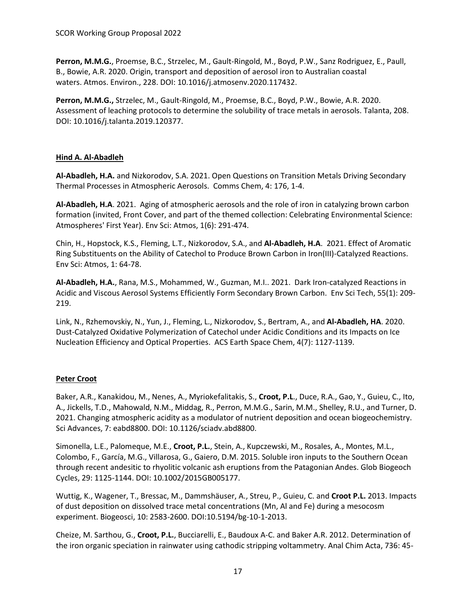**Perron, M.M.G.**, Proemse, B.C., Strzelec, M., Gault-Ringold, M., Boyd, P.W., Sanz Rodriguez, E., Paull, B., Bowie, A.R. 2020. Origin, transport and deposition of aerosol iron to Australian coastal waters. Atmos. Environ., 228. DOI: 10.1016/j.atmosenv.2020.117432.

**Perron, M.M.G.,** Strzelec, M., Gault-Ringold, M., Proemse, B.C., Boyd, P.W., Bowie, A.R. 2020. Assessment of leaching protocols to determine the solubility of trace metals in aerosols. Talanta, 208. DOI: 10.1016/j.talanta.2019.120377.

## **Hind A. Al-Abadleh**

**Al-Abadleh, H.A.** and Nizkorodov, S.A. 2021. Open Questions on Transition Metals Driving Secondary Thermal Processes in Atmospheric Aerosols. Comms Chem, 4: 176, 1-4.

**Al-Abadleh, H.A**. 2021. Aging of atmospheric aerosols and the role of iron in catalyzing brown carbon formation (invited, Front Cover, and part of the themed collection: Celebrating Environmental Science: Atmospheres' First Year). Env Sci: Atmos, 1(6): 291-474.

Chin, H., Hopstock, K.S., Fleming, L.T., Nizkorodov, S.A., and **Al-Abadleh, H.A**. 2021. Effect of Aromatic Ring Substituents on the Ability of Catechol to Produce Brown Carbon in Iron(III)-Catalyzed Reactions. Env Sci: Atmos, 1: 64-78.

**Al-Abadleh, H.A.**, Rana, M.S., Mohammed, W., Guzman, M.I.. 2021. Dark Iron-catalyzed Reactions in Acidic and Viscous Aerosol Systems Efficiently Form Secondary Brown Carbon. Env Sci Tech, 55(1): 209- 219.

Link, N., Rzhemovskiy, N., Yun, J., Fleming, L., Nizkorodov, S., Bertram, A., and **Al-Abadleh, HA**. 2020. Dust-Catalyzed Oxidative Polymerization of Catechol under Acidic Conditions and its Impacts on Ice Nucleation Efficiency and Optical Properties. ACS Earth Space Chem, 4(7): 1127-1139.

## **Peter Croot**

Baker, A.R., Kanakidou, M., Nenes, A., Myriokefalitakis, S., **Croot, P.L**., Duce, R.A., Gao, Y., Guieu, C., Ito, A., Jickells, T.D., Mahowald, N.M., Middag, R., Perron, M.M.G., Sarin, M.M., Shelley, R.U., and Turner, D. 2021. Changing atmospheric acidity as a modulator of nutrient deposition and ocean biogeochemistry. Sci Advances, 7: eabd8800. DOI: 10.1126/sciadv.abd8800.

Simonella, L.E., Palomeque, M.E., **Croot, P.L.**, Stein, A., Kupczewski, M., Rosales, A., Montes, M.L., Colombo, F., García, M.G., Villarosa, G., Gaiero, D.M. 2015. Soluble iron inputs to the Southern Ocean through recent andesitic to rhyolitic volcanic ash eruptions from the Patagonian Andes. Glob Biogeoch Cycles, 29: 1125-1144. DOI: 10.1002/2015GB005177.

Wuttig, K., Wagener, T., Bressac, M., Dammshäuser, A., Streu, P., Guieu, C. and **Croot P.L.** 2013. Impacts of dust deposition on dissolved trace metal concentrations (Mn, Al and Fe) during a mesocosm experiment. Biogeosci, 10: 2583-2600. DOI:10.5194/bg-10-1-2013.

Cheize, M. Sarthou, G., **Croot, P.L.**, Bucciarelli, E., Baudoux A-C. and Baker A.R. 2012. Determination of the iron organic speciation in rainwater using cathodic stripping voltammetry. Anal Chim Acta, 736: 45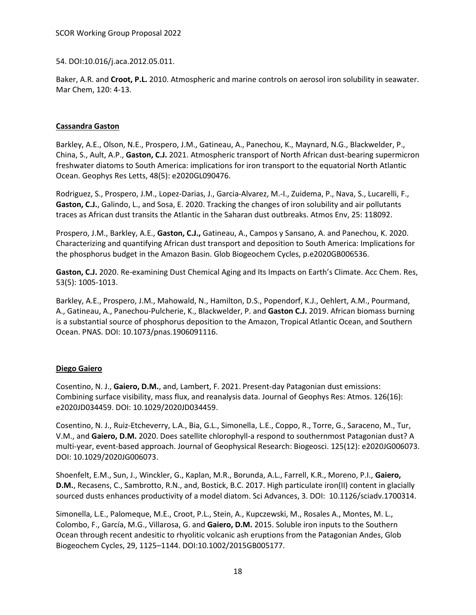54. DOI:10.016/j.aca.2012.05.011.

Baker, A.R. and **Croot, P.L.** 2010. Atmospheric and marine controls on aerosol iron solubility in seawater. Mar Chem, 120: 4-13.

### **Cassandra Gaston**

Barkley, A.E., Olson, N.E., Prospero, J.M., Gatineau, A., Panechou, K., Maynard, N.G., Blackwelder, P., China, S., Ault, A.P., **Gaston, C.J.** 2021. Atmospheric transport of North African dust-bearing supermicron freshwater diatoms to South America: implications for iron transport to the equatorial North Atlantic Ocean. Geophys Res Letts, 48(5): e2020GL090476.

Rodriguez, S., Prospero, J.M., Lopez-Darias, J., Garcia-Alvarez, M.-I., Zuidema, P., Nava, S., Lucarelli, F., **Gaston, C.J.**, Galindo, L., and Sosa, E. 2020. Tracking the changes of iron solubility and air pollutants traces as African dust transits the Atlantic in the Saharan dust outbreaks. Atmos Env, 25: 118092.

Prospero, J.M., Barkley, A.E., **Gaston, C.J.,** Gatineau, A., Campos y Sansano, A. and Panechou, K. 2020. Characterizing and quantifying African dust transport and deposition to South America: Implications for the phosphorus budget in the Amazon Basin. Glob Biogeochem Cycles, p.e2020GB006536.

**Gaston, C.J.** 2020. Re-examining Dust Chemical Aging and Its Impacts on Earth's Climate. Acc Chem. Res, 53(5): 1005-1013.

Barkley, A.E., Prospero, J.M., Mahowald, N., Hamilton, D.S., Popendorf, K.J., Oehlert, A.M., Pourmand, A., Gatineau, A., Panechou-Pulcherie, K., Blackwelder, P. and **Gaston C.J.** 2019. African biomass burning is a substantial source of phosphorus deposition to the Amazon, Tropical Atlantic Ocean, and Southern Ocean. PNAS. DOI: 10.1073/pnas.1906091116.

## **Diego Gaiero**

Cosentino, N. J., **Gaiero, D.M.**, and, Lambert, F. 2021. Present-day Patagonian dust emissions: Combining surface visibility, mass flux, and reanalysis data. Journal of Geophys Res: Atmos. 126(16): e2020JD034459. DOI: 10.1029/2020JD034459.

Cosentino, N. J., Ruiz-Etcheverry, L.A., Bia, G.L., Simonella, L.E., Coppo, R., Torre, G., Saraceno, M., Tur, V.M., and **Gaiero, D.M.** 2020. Does satellite chlorophyll-a respond to southernmost Patagonian dust? A multi-year, event-based approach. Journal of Geophysical Research: Biogeosci. 125(12): e2020JG006073. DOI: 10.1029/2020JG006073.

Shoenfelt, E.M., Sun, J., Winckler, G., Kaplan, M.R., Borunda, A.L., Farrell, K.R., Moreno, P.I., **Gaiero, D.M.**, Recasens, C., Sambrotto, R.N., and, Bostick, B.C. 2017. High particulate iron(II) content in glacially sourced dusts enhances productivity of a model diatom. Sci Advances, 3. DOI: 10.1126/sciadv.1700314.

Simonella, L.E., Palomeque, M.E., Croot, P.L., Stein, A., Kupczewski, M., Rosales A., Montes, M. L., Colombo, F., García, M.G., Villarosa, G. and **Gaiero, D.M.** 2015. Soluble iron inputs to the Southern Ocean through recent andesitic to rhyolitic volcanic ash eruptions from the Patagonian Andes, Glob Biogeochem Cycles, 29, 1125–1144. DOI:10.1002/2015GB005177.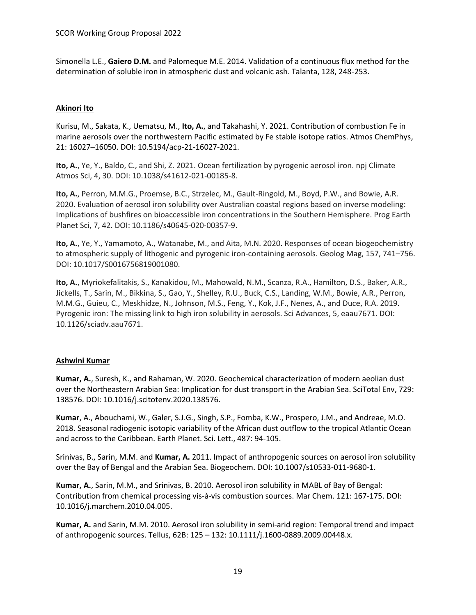Simonella L.E., **Gaiero D.M.** and Palomeque M.E. 2014. Validation of a continuous flux method for the determination of soluble iron in atmospheric dust and volcanic ash. Talanta, 128, 248-253.

## **Akinori Ito**

Kurisu, M., Sakata, K., Uematsu, M., **Ito, A.**, and Takahashi, Y. 2021. Contribution of combustion Fe in marine aerosols over the northwestern Pacific estimated by Fe stable isotope ratios. Atmos ChemPhys, 21: 16027–16050. DOI: 10.5194/acp-21-16027-2021.

**Ito, A.**, Ye, Y., Baldo, C., and Shi, Z. 2021. Ocean fertilization by pyrogenic aerosol iron. npj Climate Atmos Sci, 4, 30. DOI: 10.1038/s41612-021-00185-8.

**Ito, A.**, Perron, M.M.G., Proemse, B.C., Strzelec, M., Gault-Ringold, M., Boyd, P.W., and Bowie, A.R. 2020. Evaluation of aerosol iron solubility over Australian coastal regions based on inverse modeling: Implications of bushfires on bioaccessible iron concentrations in the Southern Hemisphere. Prog Earth Planet Sci, 7, 42. DOI: 10.1186/s40645-020-00357-9.

**Ito, A.**, Ye, Y., Yamamoto, A., Watanabe, M., and Aita, M.N. 2020. Responses of ocean biogeochemistry to atmospheric supply of lithogenic and pyrogenic iron-containing aerosols. Geolog Mag, 157, 741–756. DOI: 10.1017/S0016756819001080.

**Ito, A.**, Myriokefalitakis, S., Kanakidou, M., Mahowald, N.M., Scanza, R.A., Hamilton, D.S., Baker, A.R., Jickells, T., Sarin, M., Bikkina, S., Gao, Y., Shelley, R.U., Buck, C.S., Landing, W.M., Bowie, A.R., Perron, M.M.G., Guieu, C., Meskhidze, N., Johnson, M.S., Feng, Y., Kok, J.F., Nenes, A., and Duce, R.A. 2019. Pyrogenic iron: The missing link to high iron solubility in aerosols. Sci Advances, 5, eaau7671. DOI: 10.1126/sciadv.aau7671.

#### **Ashwini Kumar**

**Kumar, A.**, Suresh, K., and Rahaman, W. 2020. Geochemical characterization of modern aeolian dust over the Northeastern Arabian Sea: Implication for dust transport in the Arabian Sea. SciTotal Env, 729: 138576. DOI: 10.1016/j.scitotenv.2020.138576.

**Kumar**, A., Abouchami, W., Galer, S.J.G., Singh, S.P., Fomba, K.W., Prospero, J.M., and Andreae, M.O. 2018. Seasonal radiogenic isotopic variability of the African dust outflow to the tropical Atlantic Ocean and across to the Caribbean. Earth Planet. Sci. Lett., 487: 94-105.

Srinivas, B., Sarin, M.M. and **Kumar, A.** 2011. Impact of anthropogenic sources on aerosol iron solubility over the Bay of Bengal and the Arabian Sea. Biogeochem. DOI: 10.1007/s10533-011-9680-1.

**Kumar, A.**, Sarin, M.M., and Srinivas, B. 2010. Aerosol iron solubility in MABL of Bay of Bengal: Contribution from chemical processing vis-à-vis combustion sources. Mar Chem. 121: 167-175. DOI: 10.1016/j.marchem.2010.04.005.

**Kumar, A.** and Sarin, M.M. 2010. Aerosol iron solubility in semi-arid region: Temporal trend and impact of anthropogenic sources. Tellus, 62B: 125 – 132: 10.1111/j.1600-0889.2009.00448.x.